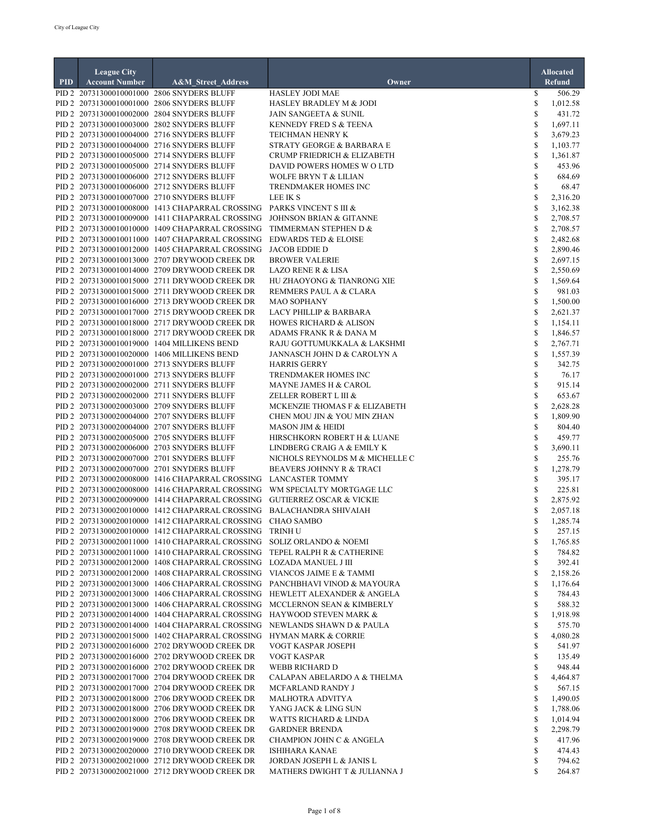|            | <b>League City</b>    |                                                                                                                                                |                                                                            |                    | <b>Allocated</b>     |
|------------|-----------------------|------------------------------------------------------------------------------------------------------------------------------------------------|----------------------------------------------------------------------------|--------------------|----------------------|
| <b>PID</b> | <b>Account Number</b> | A&M_Street_Address                                                                                                                             | Owner                                                                      |                    | <b>Refund</b>        |
|            |                       | PID 2 20731300010001000 2806 SNYDERS BLUFF                                                                                                     | <b>HASLEY JODI MAE</b>                                                     | \$                 | 506.29               |
|            |                       | PID 2 20731300010001000 2806 SNYDERS BLUFF<br>PID 2 20731300010002000 2804 SNYDERS BLUFF                                                       | HASLEY BRADLEY M & JODI<br><b>JAIN SANGEETA &amp; SUNIL</b>                | \$<br>\$           | 1,012.58<br>431.72   |
|            |                       | PID 2 20731300010003000 2802 SNYDERS BLUFF                                                                                                     | KENNEDY FRED S & TEENA                                                     | S                  | 1,697.11             |
|            |                       | PID 2 20731300010004000 2716 SNYDERS BLUFF                                                                                                     | TEICHMAN HENRY K                                                           | S                  | 3,679.23             |
|            |                       | PID 2 20731300010004000 2716 SNYDERS BLUFF                                                                                                     | STRATY GEORGE & BARBARA E                                                  | \$                 | 1,103.77             |
|            |                       | PID 2 20731300010005000 2714 SNYDERS BLUFF                                                                                                     | CRUMP FRIEDRICH & ELIZABETH                                                | \$                 | 1,361.87             |
|            |                       | PID 2 20731300010005000 2714 SNYDERS BLUFF                                                                                                     | DAVID POWERS HOMES W O LTD                                                 | \$                 | 453.96               |
|            |                       | PID 2 20731300010006000 2712 SNYDERS BLUFF<br>PID 2 20731300010006000 2712 SNYDERS BLUFF                                                       | <b>WOLFE BRYN T &amp; LILIAN</b><br>TRENDMAKER HOMES INC                   | \$<br>\$           | 684.69<br>68.47      |
|            |                       | PID 2 20731300010007000 2710 SNYDERS BLUFF                                                                                                     | LEE IK S                                                                   | \$                 | 2,316.20             |
|            |                       | PID 2 20731300010008000 1413 CHAPARRAL CROSSING                                                                                                | PARKS VINCENT S III &                                                      | \$                 | 3,162.38             |
|            |                       | PID 2 20731300010009000 1411 CHAPARRAL CROSSING                                                                                                | <b>JOHNSON BRIAN &amp; GITANNE</b>                                         | \$                 | 2,708.57             |
|            |                       | PID 2 20731300010010000 1409 CHAPARRAL CROSSING                                                                                                | TIMMERMAN STEPHEN D &                                                      | S                  | 2,708.57             |
|            |                       | PID 2 20731300010011000 1407 CHAPARRAL CROSSING                                                                                                | <b>EDWARDS TED &amp; ELOISE</b>                                            | \$                 | 2,482.68             |
|            |                       | PID 2 20731300010012000 1405 CHAPARRAL CROSSING<br>PID 2 20731300010013000 2707 DRYWOOD CREEK DR                                               | <b>JACOB EDDIE D</b><br><b>BROWER VALERIE</b>                              | \$<br>\$           | 2,890.46<br>2,697.15 |
|            |                       | PID 2 20731300010014000 2709 DRYWOOD CREEK DR                                                                                                  | <b>LAZO RENE R &amp; LISA</b>                                              | \$                 | 2,550.69             |
|            |                       | PID 2 20731300010015000 2711 DRYWOOD CREEK DR                                                                                                  | HU ZHAOYONG & TIANRONG XIE                                                 | \$                 | 1,569.64             |
|            |                       | PID 2 20731300010015000 2711 DRYWOOD CREEK DR                                                                                                  | REMMERS PAUL A & CLARA                                                     | \$                 | 981.03               |
|            |                       | PID 2 20731300010016000 2713 DRYWOOD CREEK DR                                                                                                  | <b>MAO SOPHANY</b>                                                         | \$                 | 1,500.00             |
|            |                       | PID 2 20731300010017000 2715 DRYWOOD CREEK DR                                                                                                  | <b>LACY PHILLIP &amp; BARBARA</b>                                          | $\mathbb{S}$       | 2,621.37             |
|            |                       | PID 2 20731300010018000 2717 DRYWOOD CREEK DR                                                                                                  | <b>HOWES RICHARD &amp; ALISON</b>                                          | \$                 | 1,154.11             |
|            |                       | PID 2 20731300010018000 2717 DRYWOOD CREEK DR<br>PID 2 20731300010019000 1404 MILLIKENS BEND                                                   | ADAMS FRANK R & DANA M<br>RAJU GOTTUMUKKALA & LAKSHMI                      | $\mathbb{S}$<br>S  | 1,846.57<br>2,767.71 |
|            |                       | PID 2 20731300010020000 1406 MILLIKENS BEND                                                                                                    | JANNASCH JOHN D & CAROLYN A                                                | \$                 | 1,557.39             |
|            |                       | PID 2 20731300020001000 2713 SNYDERS BLUFF                                                                                                     | <b>HARRIS GERRY</b>                                                        | \$                 | 342.75               |
|            |                       | PID 2 20731300020001000 2713 SNYDERS BLUFF                                                                                                     | TRENDMAKER HOMES INC                                                       | \$                 | 76.17                |
|            |                       | PID 2 20731300020002000 2711 SNYDERS BLUFF                                                                                                     | MAYNE JAMES H & CAROL                                                      | \$                 | 915.14               |
|            |                       | PID 2 20731300020002000 2711 SNYDERS BLUFF                                                                                                     | ZELLER ROBERT L III &                                                      | $\mathbb{S}$       | 653.67               |
|            |                       | PID 2 20731300020003000 2709 SNYDERS BLUFF<br>PID 2 20731300020004000 2707 SNYDERS BLUFF                                                       | MCKENZIE THOMAS F & ELIZABETH<br>CHEN MOU JIN & YOU MIN ZHAN               | \$<br>\$           | 2,628.28<br>1,809.90 |
|            |                       | PID 2 20731300020004000 2707 SNYDERS BLUFF                                                                                                     | <b>MASON JIM &amp; HEIDI</b>                                               | \$                 | 804.40               |
|            |                       | PID 2 20731300020005000 2705 SNYDERS BLUFF                                                                                                     | HIRSCHKORN ROBERT H & LUANE                                                | \$                 | 459.77               |
|            |                       | PID 2 20731300020006000 2703 SNYDERS BLUFF                                                                                                     | LINDBERG CRAIG A & EMILY K                                                 | \$                 | 3,690.11             |
|            |                       | PID 2 20731300020007000 2701 SNYDERS BLUFF                                                                                                     | NICHOLS REYNOLDS M & MICHELLE C                                            | \$                 | 255.76               |
|            |                       | PID 2 20731300020007000 2701 SNYDERS BLUFF                                                                                                     | <b>BEAVERS JOHNNY R &amp; TRACI</b>                                        | \$                 | 1,278.79             |
|            |                       | PID 2 20731300020008000 1416 CHAPARRAL CROSSING LANCASTER TOMMY<br>PID 2 20731300020008000 1416 CHAPARRAL CROSSING                             | WM SPECIALTY MORTGAGE LLC                                                  | $\mathbb{S}$<br>\$ | 395.17               |
|            |                       | PID 2 20731300020009000 1414 CHAPARRAL CROSSING GUTIERREZ OSCAR & VICKIE                                                                       |                                                                            | \$                 | 225.81<br>2,875.92   |
|            |                       | PID 2 20731300020010000 1412 CHAPARRAL CROSSING BALACHANDRA SHIVAIAH                                                                           |                                                                            | S                  | 2,057.18             |
|            |                       | PID 2 20731300020010000 1412 CHAPARRAL CROSSING CHAO SAMBO                                                                                     |                                                                            | S                  | 1,285.74             |
|            |                       | PID 2 20731300020010000 1412 CHAPARRAL CROSSING TRINH U                                                                                        |                                                                            | \$                 | 257.15               |
|            |                       | PID 2 20731300020011000 1410 CHAPARRAL CROSSING SOLIZ ORLANDO & NOEMI                                                                          |                                                                            | \$                 | 1,765.85             |
|            |                       |                                                                                                                                                | PID 2 20731300020011000 1410 CHAPARRAL CROSSING TEPEL RALPH R & CATHERINE  | \$                 | 784.82               |
|            |                       | PID 2 20731300020012000 1408 CHAPARRAL CROSSING LOZADA MANUEL J III<br>PID 2 20731300020012000 1408 CHAPARRAL CROSSING VIANCOS JAIME E & TAMMI |                                                                            | \$<br>\$           | 392.41<br>2,158.26   |
|            |                       |                                                                                                                                                | PID 2 20731300020013000 1406 CHAPARRAL CROSSING PANCHBHAVI VINOD & MAYOURA | \$                 | 1,176.64             |
|            |                       |                                                                                                                                                | PID 2 20731300020013000 1406 CHAPARRAL CROSSING HEWLETT ALEXANDER & ANGELA | \$                 | 784.43               |
|            |                       |                                                                                                                                                | PID 2 20731300020013000 1406 CHAPARRAL CROSSING MCCLERNON SEAN & KIMBERLY  | \$                 | 588.32               |
|            |                       | PID 2 20731300020014000 1404 CHAPARRAL CROSSING HAYWOOD STEVEN MARK &                                                                          |                                                                            | \$                 | 1,918.98             |
|            |                       |                                                                                                                                                | PID 2 20731300020014000 1404 CHAPARRAL CROSSING NEWLANDS SHAWN D & PAULA   | \$                 | 575.70               |
|            |                       | PID 2 20731300020015000 1402 CHAPARRAL CROSSING HYMAN MARK & CORRIE                                                                            |                                                                            | \$                 | 4,080.28             |
|            |                       | PID 2 20731300020016000 2702 DRYWOOD CREEK DR<br>PID 2 20731300020016000 2702 DRYWOOD CREEK DR                                                 | VOGT KASPAR JOSEPH<br>VOGT KASPAR                                          | \$<br>\$           | 541.97<br>135.49     |
|            |                       | PID 2 20731300020016000 2702 DRYWOOD CREEK DR                                                                                                  | WEBB RICHARD D                                                             | \$                 | 948.44               |
|            |                       | PID 2 20731300020017000 2704 DRYWOOD CREEK DR                                                                                                  | CALAPAN ABELARDO A & THELMA                                                | \$                 | 4,464.87             |
|            |                       | PID 2 20731300020017000 2704 DRYWOOD CREEK DR                                                                                                  | MCFARLAND RANDY J                                                          | \$                 | 567.15               |
|            |                       | PID 2 20731300020018000 2706 DRYWOOD CREEK DR                                                                                                  | <b>MALHOTRA ADVITYA</b>                                                    | \$                 | 1,490.05             |
|            |                       | PID 2 20731300020018000 2706 DRYWOOD CREEK DR                                                                                                  | YANG JACK & LING SUN                                                       | \$                 | 1,788.06             |
|            |                       | PID 2 20731300020018000 2706 DRYWOOD CREEK DR<br>PID 2 20731300020019000 2708 DRYWOOD CREEK DR                                                 | WATTS RICHARD & LINDA                                                      | S<br>\$            | 1,014.94             |
|            |                       | PID 2 20731300020019000 2708 DRYWOOD CREEK DR                                                                                                  | <b>GARDNER BRENDA</b><br>CHAMPION JOHN C & ANGELA                          | \$                 | 2,298.79<br>417.96   |
|            |                       | PID 2 20731300020020000 2710 DRYWOOD CREEK DR                                                                                                  | ISHIHARA KANAE                                                             | \$                 | 474.43               |
|            |                       | PID 2 20731300020021000 2712 DRYWOOD CREEK DR                                                                                                  | JORDAN JOSEPH L & JANIS L                                                  | \$                 | 794.62               |
|            |                       | PID 2 20731300020021000 2712 DRYWOOD CREEK DR                                                                                                  | MATHERS DWIGHT T & JULIANNA J                                              | \$                 | 264.87               |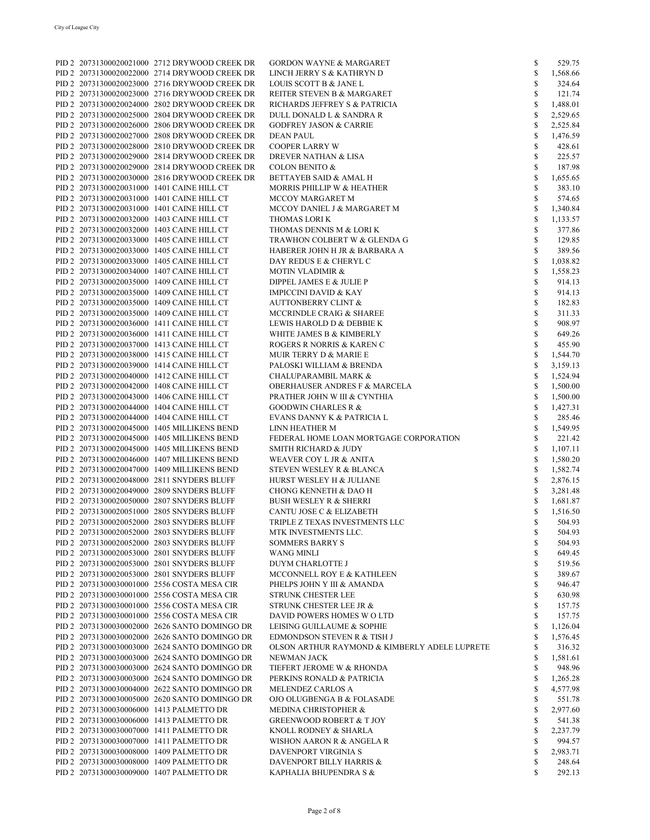|  | PID 2 20731300020021000 2712 DRYWOOD CREEK DR | <b>GORDON WAYNE &amp; MARGARET</b>            | \$           | 529.75   |
|--|-----------------------------------------------|-----------------------------------------------|--------------|----------|
|  | PID 2 20731300020022000 2714 DRYWOOD CREEK DR | LINCH JERRY S & KATHRYN D                     | \$           | 1,568.66 |
|  | PID 2 20731300020023000 2716 DRYWOOD CREEK DR | LOUIS SCOTT B & JANE L                        | \$           | 324.64   |
|  | PID 2 20731300020023000 2716 DRYWOOD CREEK DR | REITER STEVEN B & MARGARET                    | \$           | 121.74   |
|  | PID 2 20731300020024000 2802 DRYWOOD CREEK DR | RICHARDS JEFFREY S & PATRICIA                 | \$           | 1,488.01 |
|  | PID 2 20731300020025000 2804 DRYWOOD CREEK DR | DULL DONALD L & SANDRA R                      | \$           | 2,529.65 |
|  |                                               |                                               |              |          |
|  | PID 2 20731300020026000 2806 DRYWOOD CREEK DR | <b>GODFREY JASON &amp; CARRIE</b>             | \$           | 2,525.84 |
|  | PID 2 20731300020027000 2808 DRYWOOD CREEK DR | <b>DEAN PAUL</b>                              | \$           | 1,476.59 |
|  | PID 2 20731300020028000 2810 DRYWOOD CREEK DR | <b>COOPER LARRY W</b>                         | \$           | 428.61   |
|  | PID 2 20731300020029000 2814 DRYWOOD CREEK DR | <b>DREVER NATHAN &amp; LISA</b>               | \$           | 225.57   |
|  | PID 2 20731300020029000 2814 DRYWOOD CREEK DR | <b>COLON BENITO &amp;</b>                     | \$           | 187.98   |
|  | PID 2 20731300020030000 2816 DRYWOOD CREEK DR | <b>BETTAYEB SAID &amp; AMAL H</b>             | \$           | 1,655.65 |
|  | PID 2 20731300020031000 1401 CAINE HILL CT    | MORRIS PHILLIP W & HEATHER                    | \$           | 383.10   |
|  | PID 2 20731300020031000 1401 CAINE HILL CT    | MCCOY MARGARET M                              | $\mathbb{S}$ | 574.65   |
|  | PID 2 20731300020031000 1401 CAINE HILL CT    | MCCOY DANIEL J & MARGARET M                   | \$           | 1,340.84 |
|  |                                               |                                               |              |          |
|  | PID 2 20731300020032000 1403 CAINE HILL CT    | THOMAS LORI K                                 | \$           | 1,133.57 |
|  | PID 2 20731300020032000 1403 CAINE HILL CT    | THOMAS DENNIS M & LORI K                      | \$           | 377.86   |
|  | PID 2 20731300020033000 1405 CAINE HILL CT    | TRAWHON COLBERT W & GLENDA G                  | \$           | 129.85   |
|  | PID 2 20731300020033000 1405 CAINE HILL CT    | HABERER JOHN H JR & BARBARA A                 | \$           | 389.56   |
|  | PID 2 20731300020033000 1405 CAINE HILL CT    | DAY REDUS E & CHERYL C                        | \$           | 1,038.82 |
|  | PID 2 20731300020034000 1407 CAINE HILL CT    | <b>MOTIN VLADIMIR &amp;</b>                   | \$           | 1,558.23 |
|  | PID 2 20731300020035000 1409 CAINE HILL CT    | DIPPEL JAMES E & JULIE P                      | \$           | 914.13   |
|  | PID 2 20731300020035000 1409 CAINE HILL CT    | <b>IMPICCINI DAVID &amp; KAY</b>              | \$           | 914.13   |
|  |                                               |                                               |              |          |
|  | PID 2 20731300020035000 1409 CAINE HILL CT    | <b>AUTTONBERRY CLINT &amp;</b>                | \$           | 182.83   |
|  | PID 2 20731300020035000 1409 CAINE HILL CT    | MCCRINDLE CRAIG & SHAREE                      | \$           | 311.33   |
|  | PID 2 20731300020036000 1411 CAINE HILL CT    | LEWIS HAROLD D & DEBBIE K                     | \$           | 908.97   |
|  | PID 2 20731300020036000 1411 CAINE HILL CT    | WHITE JAMES B & KIMBERLY                      | \$           | 649.26   |
|  | PID 2 20731300020037000 1413 CAINE HILL CT    | ROGERS R NORRIS & KAREN C                     | \$           | 455.90   |
|  | PID 2 20731300020038000 1415 CAINE HILL CT    | MUIR TERRY D & MARIE E                        | \$           | 1,544.70 |
|  | PID 2 20731300020039000 1414 CAINE HILL CT    | PALOSKI WILLIAM & BRENDA                      | \$           | 3,159.13 |
|  | PID 2 20731300020040000 1412 CAINE HILL CT    | <b>CHALUPARAMBIL MARK &amp;</b>               | \$           | 1,524.94 |
|  |                                               |                                               |              |          |
|  | PID 2 20731300020042000 1408 CAINE HILL CT    | <b>OBERHAUSER ANDRES F &amp; MARCELA</b>      | \$           | 1,500.00 |
|  | PID 2 20731300020043000 1406 CAINE HILL CT    | PRATHER JOHN W III & CYNTHIA                  | \$           | 1,500.00 |
|  | PID 2 20731300020044000 1404 CAINE HILL CT    | <b>GOODWIN CHARLES R &amp;</b>                | \$           | 1,427.31 |
|  | PID 2 20731300020044000 1404 CAINE HILL CT    | EVANS DANNY K & PATRICIA L                    | \$           | 285.46   |
|  | PID 2 20731300020045000 1405 MILLIKENS BEND   | LINN HEATHER M                                | \$           | 1,549.95 |
|  | PID 2 20731300020045000 1405 MILLIKENS BEND   | FEDERAL HOME LOAN MORTGAGE CORPORATION        | \$           | 221.42   |
|  | PID 2 20731300020045000 1405 MILLIKENS BEND   | <b>SMITH RICHARD &amp; JUDY</b>               | \$           | 1,107.11 |
|  | PID 2 20731300020046000 1407 MILLIKENS BEND   | WEAVER COY L JR & ANITA                       | $\mathbb{S}$ | 1,580.20 |
|  | PID 2 20731300020047000 1409 MILLIKENS BEND   | STEVEN WESLEY R & BLANCA                      | \$           | 1,582.74 |
|  |                                               |                                               | \$           |          |
|  | PID 2 20731300020048000 2811 SNYDERS BLUFF    | HURST WESLEY H & JULIANE                      |              | 2,876.15 |
|  | PID 2 20731300020049000 2809 SNYDERS BLUFF    | CHONG KENNETH & DAO H                         | $\mathbb{S}$ | 3,281.48 |
|  | PID 2 20731300020050000 2807 SNYDERS BLUFF    | <b>BUSH WESLEY R &amp; SHERRI</b>             | \$           | 1,681.87 |
|  | PID 2 20731300020051000 2805 SNYDERS BLUFF    | CANTU JOSE C & ELIZABETH                      | \$           | 1,516.50 |
|  | PID 2 20731300020052000 2803 SNYDERS BLUFF    | TRIPLE Z TEXAS INVESTMENTS LLC                | \$           | 504.93   |
|  | PID 2 20731300020052000 2803 SNYDERS BLUFF    | MTK INVESTMENTS LLC.                          | \$           | 504.93   |
|  | PID 2 20731300020052000 2803 SNYDERS BLUFF    | <b>SOMMERS BARRY S</b>                        | \$           | 504.93   |
|  | PID 2 20731300020053000 2801 SNYDERS BLUFF    | <b>WANG MINLI</b>                             | \$           | 649.45   |
|  | PID 2 20731300020053000 2801 SNYDERS BLUFF    | DUYM CHARLOTTE J                              | \$           | 519.56   |
|  |                                               |                                               | \$           |          |
|  | PID 2 20731300020053000 2801 SNYDERS BLUFF    | MCCONNELL ROY E & KATHLEEN                    |              | 389.67   |
|  | PID 2 20731300030001000 2556 COSTA MESA CIR   | PHELPS JOHN Y III & AMANDA                    | \$           | 946.47   |
|  | PID 2 20731300030001000 2556 COSTA MESA CIR   | <b>STRUNK CHESTER LEE</b>                     | \$           | 630.98   |
|  | PID 2 20731300030001000 2556 COSTA MESA CIR   | STRUNK CHESTER LEE JR &                       | \$           | 157.75   |
|  | PID 2 20731300030001000 2556 COSTA MESA CIR   | DAVID POWERS HOMES WO LTD                     | \$           | 157.75   |
|  | PID 2 20731300030002000 2626 SANTO DOMINGO DR | LEISING GUILLAUME & SOPHIE                    | \$           | 1,126.04 |
|  | PID 2 20731300030002000 2626 SANTO DOMINGO DR | EDMONDSON STEVEN R & TISH J                   | \$           | 1,576.45 |
|  | PID 2 20731300030003000 2624 SANTO DOMINGO DR | OLSON ARTHUR RAYMOND & KIMBERLY ADELE LUPRETE | \$           | 316.32   |
|  | PID 2 20731300030003000 2624 SANTO DOMINGO DR | NEWMAN JACK                                   | \$           | 1,581.61 |
|  |                                               |                                               |              |          |
|  | PID 2 20731300030003000 2624 SANTO DOMINGO DR | TIEFERT JEROME W & RHONDA                     | \$           | 948.96   |
|  | PID 2 20731300030003000 2624 SANTO DOMINGO DR | PERKINS RONALD & PATRICIA                     | \$           | 1,265.28 |
|  | PID 2 20731300030004000 2622 SANTO DOMINGO DR | MELENDEZ CARLOS A                             | \$           | 4,577.98 |
|  | PID 2 20731300030005000 2620 SANTO DOMINGO DR | OJO OLUGBENGA B & FOLASADE                    | \$           | 551.78   |
|  | PID 2 20731300030006000 1413 PALMETTO DR      | MEDINA CHRISTOPHER &                          | \$           | 2,977.60 |
|  | PID 2 20731300030006000 1413 PALMETTO DR      | <b>GREENWOOD ROBERT &amp; T JOY</b>           | \$           | 541.38   |
|  | PID 2 20731300030007000 1411 PALMETTO DR      | KNOLL RODNEY & SHARLA                         | \$           | 2,237.79 |
|  | PID 2 20731300030007000 1411 PALMETTO DR      | WISHON AARON R & ANGELA R                     | \$           | 994.57   |
|  |                                               |                                               |              |          |
|  | PID 2 20731300030008000 1409 PALMETTO DR      | DAVENPORT VIRGINIA S                          | \$           | 2,983.71 |
|  | PID 2 20731300030008000 1409 PALMETTO DR      | DAVENPORT BILLY HARRIS &                      | \$           | 248.64   |
|  | PID 2 20731300030009000 1407 PALMETTO DR      | KAPHALIA BHUPENDRA S &                        | \$           | 292.13   |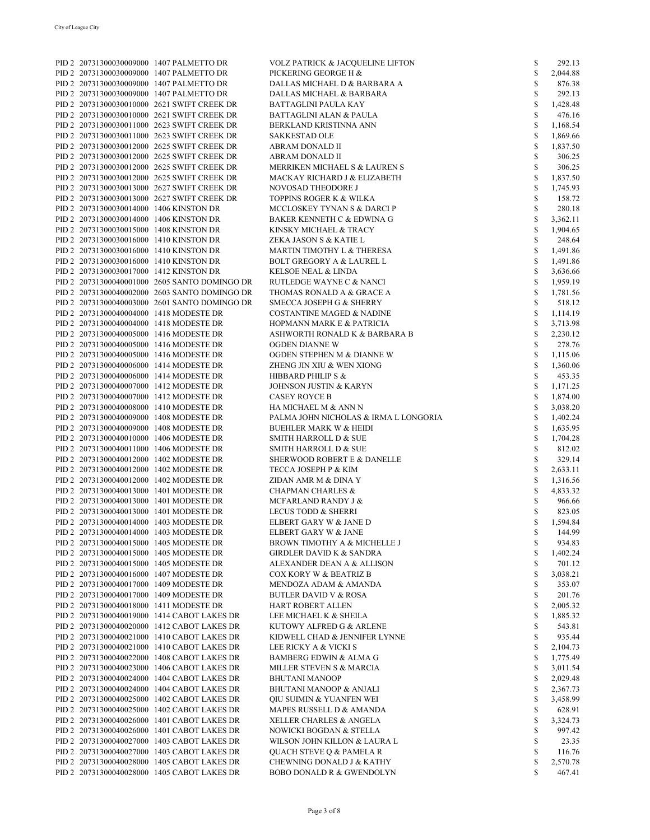|                                         | PID 2 20731300030009000 1407 PALMETTO DR      | <b>VOLZ PATRICK &amp; JACQUELINE LIFTON</b> | \$           | 292.13   |
|-----------------------------------------|-----------------------------------------------|---------------------------------------------|--------------|----------|
|                                         |                                               |                                             |              |          |
|                                         | PID 2 20731300030009000 1407 PALMETTO DR      | PICKERING GEORGE H &                        | \$           | 2,044.88 |
|                                         | PID 2 20731300030009000 1407 PALMETTO DR      | DALLAS MICHAEL D & BARBARA A                | \$           | 876.38   |
|                                         | PID 2 20731300030009000 1407 PALMETTO DR      | DALLAS MICHAEL & BARBARA                    | $\mathbb{S}$ | 292.13   |
|                                         | PID 2 20731300030010000 2621 SWIFT CREEK DR   | BATTAGLINI PAULA KAY                        | \$           | 1,428.48 |
|                                         | PID 2 20731300030010000 2621 SWIFT CREEK DR   | <b>BATTAGLINI ALAN &amp; PAULA</b>          | \$           | 476.16   |
|                                         |                                               |                                             |              |          |
|                                         | PID 2 20731300030011000 2623 SWIFT CREEK DR   | BERKLAND KRISTINNA ANN                      | $\mathbb{S}$ | 1,168.54 |
|                                         | PID 2 20731300030011000 2623 SWIFT CREEK DR   | SAKKESTAD OLE                               | $\mathbb{S}$ | 1,869.66 |
|                                         | PID 2 20731300030012000 2625 SWIFT CREEK DR   | ABRAM DONALD II                             | \$           | 1,837.50 |
|                                         | PID 2 20731300030012000 2625 SWIFT CREEK DR   | ABRAM DONALD II                             | \$           | 306.25   |
|                                         | PID 2 20731300030012000 2625 SWIFT CREEK DR   | MERRIKEN MICHAEL S & LAUREN S               | \$           | 306.25   |
|                                         |                                               |                                             |              |          |
|                                         | PID 2 20731300030012000 2625 SWIFT CREEK DR   | MACKAY RICHARD J & ELIZABETH                | \$           | 1,837.50 |
|                                         | PID 2 20731300030013000 2627 SWIFT CREEK DR   | NOVOSAD THEODORE J                          | \$           | 1,745.93 |
|                                         | PID 2 20731300030013000 2627 SWIFT CREEK DR   | TOPPINS ROGER K & WILKA                     | \$           | 158.72   |
| PID 2 20731300030014000 1406 KINSTON DR |                                               | MCCLOSKEY TYNAN S & DARCI P                 | $\mathbb{S}$ | 280.18   |
| PID 2 20731300030014000 1406 KINSTON DR |                                               | BAKER KENNETH C & EDWINA G                  | \$           | 3,362.11 |
|                                         |                                               |                                             |              |          |
| PID 2 20731300030015000 1408 KINSTON DR |                                               | KINSKY MICHAEL & TRACY                      | \$           | 1,904.65 |
| PID 2 20731300030016000 1410 KINSTON DR |                                               | ZEKA JASON S & KATIE L                      | \$           | 248.64   |
| PID 2 20731300030016000 1410 KINSTON DR |                                               | MARTIN TIMOTHY L & THERESA                  | \$           | 1,491.86 |
| PID 2 20731300030016000 1410 KINSTON DR |                                               | <b>BOLT GREGORY A &amp; LAUREL L</b>        | $\mathbb{S}$ | 1,491.86 |
|                                         |                                               |                                             | $\mathbb{S}$ |          |
| PID 2 20731300030017000 1412 KINSTON DR |                                               | KELSOE NEAL & LINDA                         |              | 3,636.66 |
|                                         | PID 2 20731300040001000 2605 SANTO DOMINGO DR | RUTLEDGE WAYNE C & NANCI                    | $\mathbb{S}$ | 1,959.19 |
|                                         | PID 2 20731300040002000 2603 SANTO DOMINGO DR | THOMAS RONALD A & GRACE A                   | $\mathbb{S}$ | 1,781.56 |
|                                         | PID 2 20731300040003000 2601 SANTO DOMINGO DR | SMECCA JOSEPH G & SHERRY                    | \$           | 518.12   |
| PID 2 20731300040004000 1418 MODESTE DR |                                               | <b>COSTANTINE MAGED &amp; NADINE</b>        | \$           | 1,114.19 |
| PID 2 20731300040004000 1418 MODESTE DR |                                               |                                             | \$           |          |
|                                         |                                               | HOPMANN MARK E & PATRICIA                   |              | 3,713.98 |
| PID 2 20731300040005000 1416 MODESTE DR |                                               | ASHWORTH RONALD K & BARBARA B               | \$           | 2,230.12 |
| PID 2 20731300040005000 1416 MODESTE DR |                                               | OGDEN DIANNE W                              | \$           | 278.76   |
| PID 2 20731300040005000 1416 MODESTE DR |                                               | OGDEN STEPHEN M & DIANNE W                  | $\mathbb{S}$ | 1,115.06 |
| PID 2 20731300040006000 1414 MODESTE DR |                                               | ZHENG JIN XIU & WEN XIONG                   | \$           | 1,360.06 |
|                                         |                                               |                                             | \$           |          |
| PID 2 20731300040006000 1414 MODESTE DR |                                               | HIBBARD PHILIP S &                          |              | 453.35   |
| PID 2 20731300040007000 1412 MODESTE DR |                                               | JOHNSON JUSTIN & KARYN                      | \$           | 1,171.25 |
| PID 2 20731300040007000 1412 MODESTE DR |                                               | <b>CASEY ROYCE B</b>                        | \$           | 1,874.00 |
| PID 2 20731300040008000 1410 MODESTE DR |                                               | HA MICHAEL M & ANN N                        | \$           | 3,038.20 |
| PID 2 20731300040009000 1408 MODESTE DR |                                               | PALMA JOHN NICHOLAS & IRMA L LONGORIA       | \$           | 1,402.24 |
|                                         |                                               |                                             | \$           |          |
| PID 2 20731300040009000 1408 MODESTE DR |                                               | <b>BUEHLER MARK W &amp; HEIDI</b>           |              | 1,635.95 |
| PID 2 20731300040010000 1406 MODESTE DR |                                               | SMITH HARROLL D & SUE                       | \$           | 1,704.28 |
| PID 2 20731300040011000 1406 MODESTE DR |                                               | SMITH HARROLL D & SUE                       | \$           | 812.02   |
| PID 2 20731300040012000 1402 MODESTE DR |                                               | SHERWOOD ROBERT E & DANELLE                 | \$           | 329.14   |
| PID 2 20731300040012000 1402 MODESTE DR |                                               | TECCA JOSEPH P & KIM                        | \$           | 2,633.11 |
|                                         |                                               | ZIDAN AMR M & DINA Y                        | \$           |          |
| PID 2 20731300040012000 1402 MODESTE DR |                                               |                                             |              | 1,316.56 |
| PID 2 20731300040013000 1401 MODESTE DR |                                               | <b>CHAPMAN CHARLES &amp;</b>                | \$           | 4,833.32 |
| PID 2 20731300040013000 1401 MODESTE DR |                                               | MCFARLAND RANDY J &                         | \$           | 966.66   |
| PID 2 20731300040013000 1401 MODESTE DR |                                               | LECUS TODD & SHERRI                         | \$           | 823.05   |
| PID 2 20731300040014000 1403 MODESTE DR |                                               | ELBERT GARY W & JANE D                      | \$           | 1,594.84 |
|                                         |                                               | ELBERT GARY W & JANE                        |              |          |
| PID 2 20731300040014000 1403 MODESTE DR |                                               |                                             | \$           | 144.99   |
| PID 2 20731300040015000 1405 MODESTE DR |                                               | BROWN TIMOTHY A & MICHELLE J                | \$           | 934.83   |
| PID 2 20731300040015000 1405 MODESTE DR |                                               | <b>GIRDLER DAVID K &amp; SANDRA</b>         | \$           | 1,402.24 |
| PID 2 20731300040015000 1405 MODESTE DR |                                               | ALEXANDER DEAN A & ALLISON                  | \$           | 701.12   |
| PID 2 20731300040016000 1407 MODESTE DR |                                               | <b>COX KORY W &amp; BEATRIZ B</b>           | \$           | 3,038.21 |
| PID 2 20731300040017000 1409 MODESTE DR |                                               | MENDOZA ADAM & AMANDA                       | \$           | 353.07   |
|                                         |                                               |                                             |              |          |
| PID 2 20731300040017000 1409 MODESTE DR |                                               | <b>BUTLER DAVID V &amp; ROSA</b>            | \$           | 201.76   |
| PID 2 20731300040018000 1411 MODESTE DR |                                               | HART ROBERT ALLEN                           | \$           | 2,005.32 |
|                                         | PID 2 20731300040019000 1414 CABOT LAKES DR   | LEE MICHAEL K & SHEILA                      | \$           | 1,885.32 |
|                                         | PID 2 20731300040020000 1412 CABOT LAKES DR   | KUTOWY ALFRED G & ARLENE                    | \$           | 543.81   |
|                                         | PID 2 20731300040021000 1410 CABOT LAKES DR   | KIDWELL CHAD & JENNIFER LYNNE               | \$           | 935.44   |
|                                         |                                               |                                             |              |          |
|                                         | PID 2 20731300040021000 1410 CABOT LAKES DR   | LEE RICKY A & VICKI S                       | \$           | 2,104.73 |
|                                         | PID 2 20731300040022000 1408 CABOT LAKES DR   | <b>BAMBERG EDWIN &amp; ALMA G</b>           | \$           | 1,775.49 |
|                                         | PID 2 20731300040023000 1406 CABOT LAKES DR   | MILLER STEVEN S & MARCIA                    | \$           | 3,011.54 |
|                                         | PID 2 20731300040024000 1404 CABOT LAKES DR   | <b>BHUTANI MANOOP</b>                       | \$           | 2,029.48 |
|                                         | PID 2 20731300040024000 1404 CABOT LAKES DR   | <b>BHUTANI MANOOP &amp; ANJALI</b>          | \$           | 2,367.73 |
|                                         |                                               |                                             |              |          |
|                                         | PID 2 20731300040025000 1402 CABOT LAKES DR   | QIU SUIMIN & YUANFEN WEI                    | \$           | 3,458.99 |
|                                         | PID 2 20731300040025000 1402 CABOT LAKES DR   | MAPES RUSSELL D & AMANDA                    | \$           | 628.91   |
|                                         | PID 2 20731300040026000 1401 CABOT LAKES DR   | XELLER CHARLES & ANGELA                     | \$           | 3,324.73 |
|                                         | PID 2 20731300040026000 1401 CABOT LAKES DR   | NOWICKI BOGDAN & STELLA                     | \$           | 997.42   |
|                                         | PID 2 20731300040027000 1403 CABOT LAKES DR   | WILSON JOHN KILLON & LAURA L                | \$           | 23.35    |
|                                         |                                               |                                             |              |          |
|                                         | PID 2 20731300040027000 1403 CABOT LAKES DR   | <b>QUACH STEVE Q &amp; PAMELA R</b>         | \$           | 116.76   |
|                                         | PID 2 20731300040028000 1405 CABOT LAKES DR   | CHEWNING DONALD J & KATHY                   | \$           | 2,570.78 |
|                                         | PID 2 20731300040028000 1405 CABOT LAKES DR   | <b>BOBO DONALD R &amp; GWENDOLYN</b>        | \$           | 467.41   |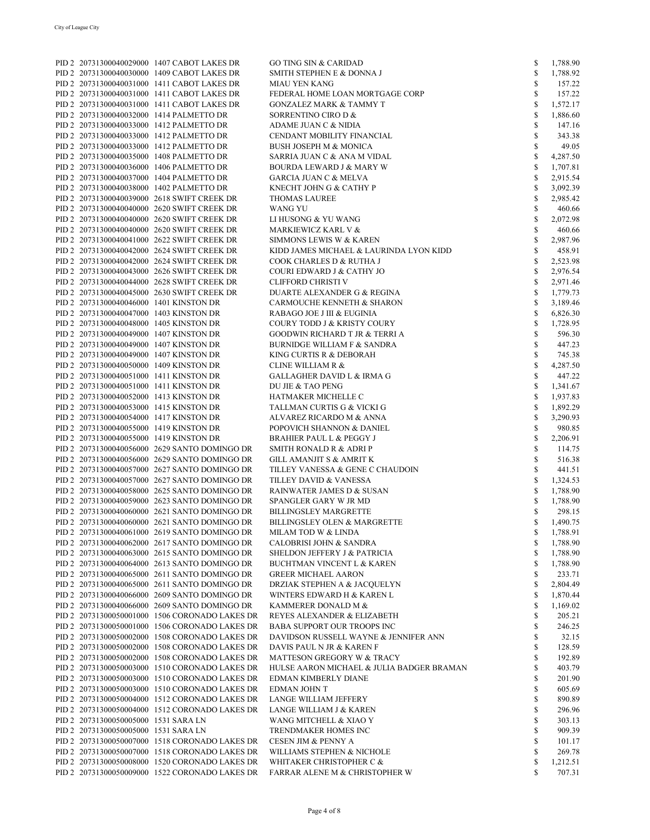|                                         | PID 2 20731300040029000 1407 CABOT LAKES DR    | <b>GO TING SIN &amp; CARIDAD</b>          | \$           | 1,788.90 |
|-----------------------------------------|------------------------------------------------|-------------------------------------------|--------------|----------|
|                                         | PID 2 20731300040030000 1409 CABOT LAKES DR    | SMITH STEPHEN E & DONNA J                 | \$           | 1,788.92 |
|                                         | PID 2 20731300040031000 1411 CABOT LAKES DR    | <b>MIAU YEN KANG</b>                      | \$           | 157.22   |
|                                         | PID 2 20731300040031000 1411 CABOT LAKES DR    | FEDERAL HOME LOAN MORTGAGE CORP           | $\mathbb{S}$ | 157.22   |
|                                         | PID 2 20731300040031000 1411 CABOT LAKES DR    | <b>GONZALEZ MARK &amp; TAMMY T</b>        | \$           | 1,572.17 |
|                                         |                                                |                                           |              |          |
|                                         | PID 2 20731300040032000 1414 PALMETTO DR       | SORRENTINO CIRO D &                       | \$           | 1,886.60 |
|                                         | PID 2 20731300040033000 1412 PALMETTO DR       | ADAME JUAN C & NIDIA                      | \$           | 147.16   |
|                                         | PID 2 20731300040033000 1412 PALMETTO DR       | CENDANT MOBILITY FINANCIAL                | \$           | 343.38   |
|                                         | PID 2 20731300040033000 1412 PALMETTO DR       | <b>BUSH JOSEPH M &amp; MONICA</b>         | \$           | 49.05    |
|                                         | PID 2 20731300040035000 1408 PALMETTO DR       |                                           | \$           | 4,287.50 |
|                                         |                                                | SARRIA JUAN C & ANA M VIDAL               |              |          |
|                                         | PID 2 20731300040036000 1406 PALMETTO DR       | <b>BOURDA LEWARD J &amp; MARY W</b>       | \$           | 1,707.81 |
|                                         | PID 2 20731300040037000 1404 PALMETTO DR       | <b>GARCIA JUAN C &amp; MELVA</b>          | \$           | 2,915.54 |
|                                         | PID 2 20731300040038000 1402 PALMETTO DR       | KNECHT JOHN G & CATHY P                   | \$           | 3,092.39 |
|                                         | PID 2 20731300040039000 2618 SWIFT CREEK DR    | <b>THOMAS LAUREE</b>                      | \$           | 2,985.42 |
|                                         | PID 2 20731300040040000 2620 SWIFT CREEK DR    | WANG YU                                   | \$           | 460.66   |
|                                         |                                                |                                           |              |          |
|                                         | PID 2 20731300040040000 2620 SWIFT CREEK DR    | LI HUSONG & YU WANG                       | \$           | 2,072.98 |
|                                         | PID 2 20731300040040000 2620 SWIFT CREEK DR    | MARKIEWICZ KARL V &                       | \$           | 460.66   |
|                                         | PID 2 20731300040041000 2622 SWIFT CREEK DR    | <b>SIMMONS LEWIS W &amp; KAREN</b>        | \$           | 2,987.96 |
|                                         | PID 2 20731300040042000 2624 SWIFT CREEK DR    | KIDD JAMES MICHAEL & LAURINDA LYON KIDD   | \$           | 458.91   |
|                                         | PID 2 20731300040042000 2624 SWIFT CREEK DR    | COOK CHARLES D & RUTHA J                  | \$           | 2,523.98 |
|                                         |                                                |                                           |              |          |
|                                         | PID 2 20731300040043000 2626 SWIFT CREEK DR    | COURI EDWARD J & CATHY JO                 | \$           | 2,976.54 |
|                                         | PID 2 20731300040044000 2628 SWIFT CREEK DR    | <b>CLIFFORD CHRISTI V</b>                 | \$           | 2,971.46 |
|                                         | PID 2 20731300040045000 2630 SWIFT CREEK DR    | DUARTE ALEXANDER G & REGINA               | \$           | 1,779.73 |
| PID 2 20731300040046000 1401 KINSTON DR |                                                | CARMOUCHE KENNETH & SHARON                | \$           | 3,189.46 |
| PID 2 20731300040047000 1403 KINSTON DR |                                                | RABAGO JOE J III & EUGINIA                | \$           | 6,826.30 |
|                                         |                                                |                                           |              |          |
| PID 2 20731300040048000 1405 KINSTON DR |                                                | <b>COURY TODD J &amp; KRISTY COURY</b>    | \$           | 1,728.95 |
| PID 2 20731300040049000 1407 KINSTON DR |                                                | <b>GOODWIN RICHARD T JR &amp; TERRI A</b> | \$           | 596.30   |
| PID 2 20731300040049000 1407 KINSTON DR |                                                | <b>BURNIDGE WILLIAM F &amp; SANDRA</b>    | \$           | 447.23   |
| PID 2 20731300040049000 1407 KINSTON DR |                                                | KING CURTIS R & DEBORAH                   | \$           | 745.38   |
| PID 2 20731300040050000 1409 KINSTON DR |                                                | <b>CLINE WILLIAM R &amp;</b>              | \$           | 4,287.50 |
|                                         |                                                |                                           |              |          |
| PID 2 20731300040051000 1411 KINSTON DR |                                                | <b>GALLAGHER DAVID L &amp; IRMA G</b>     | \$           | 447.22   |
| PID 2 20731300040051000 1411 KINSTON DR |                                                | DU JIE & TAO PENG                         | \$           | 1,341.67 |
| PID 2 20731300040052000 1413 KINSTON DR |                                                | HATMAKER MICHELLE C                       | \$           | 1,937.83 |
| PID 2 20731300040053000 1415 KINSTON DR |                                                | TALLMAN CURTIS G & VICKI G                | \$           | 1,892.29 |
| PID 2 20731300040054000 1417 KINSTON DR |                                                | ALVAREZ RICARDO M & ANNA                  | \$           | 3,290.93 |
|                                         |                                                |                                           |              |          |
| PID 2 20731300040055000 1419 KINSTON DR |                                                | POPOVICH SHANNON & DANIEL                 | \$           | 980.85   |
| PID 2 20731300040055000 1419 KINSTON DR |                                                | <b>BRAHIER PAUL L &amp; PEGGY J</b>       | \$           | 2,206.91 |
|                                         | PID 2 20731300040056000 2629 SANTO DOMINGO DR  | SMITH RONALD R & ADRI P                   | \$           | 114.75   |
|                                         | PID 2 20731300040056000 2629 SANTO DOMINGO DR  | <b>GILL AMANJIT S &amp; AMRIT K</b>       | \$           | 516.38   |
|                                         | PID 2 20731300040057000 2627 SANTO DOMINGO DR  | TILLEY VANESSA & GENE C CHAUDOIN          | \$           | 441.51   |
|                                         |                                                |                                           |              |          |
|                                         | PID 2 20731300040057000 2627 SANTO DOMINGO DR  | TILLEY DAVID & VANESSA                    | \$           | 1,324.53 |
|                                         | PID 2 20731300040058000 2625 SANTO DOMINGO DR  | RAINWATER JAMES D & SUSAN                 | \$           | 1,788.90 |
|                                         | PID 2 20731300040059000 2623 SANTO DOMINGO DR  | SPANGLER GARY W JR MD                     | \$           | 1,788.90 |
|                                         | PID 2 20731300040060000 2621 SANTO DOMINGO DR  | <b>BILLINGSLEY MARGRETTE</b>              | \$           | 298.15   |
|                                         | PID 2 20731300040060000 2621 SANTO DOMINGO DR  | <b>BILLINGSLEY OLEN &amp; MARGRETTE</b>   | S            | 1,490.75 |
|                                         |                                                |                                           |              |          |
|                                         | PID 2 20731300040061000 2619 SANTO DOMINGO DR  | MILAM TOD W & LINDA                       | \$           | 1,788.91 |
|                                         | PID 2 20731300040062000 2617 SANTO DOMINGO DR  | <b>CALOBRISI JOHN &amp; SANDRA</b>        | \$           | 1,788.90 |
|                                         | PID 2 20731300040063000 2615 SANTO DOMINGO DR  | <b>SHELDON JEFFERY J &amp; PATRICIA</b>   | \$           | 1,788.90 |
|                                         | PID 2 20731300040064000 2613 SANTO DOMINGO DR  | <b>BUCHTMAN VINCENT L &amp; KAREN</b>     | \$           | 1,788.90 |
|                                         | PID 2 20731300040065000 2611 SANTO DOMINGO DR  | <b>GREER MICHAEL AARON</b>                | \$           | 233.71   |
|                                         | PID 2 20731300040065000 2611 SANTO DOMINGO DR  | DRZIAK STEPHEN A & JACQUELYN              | \$           | 2,804.49 |
|                                         |                                                |                                           |              |          |
|                                         | PID 2 20731300040066000 2609 SANTO DOMINGO DR  | WINTERS EDWARD H & KAREN L                | \$           | 1,870.44 |
|                                         | PID 2 20731300040066000 2609 SANTO DOMINGO DR  | KAMMERER DONALD M &                       | \$           | 1,169.02 |
|                                         | PID 2 20731300050001000 1506 CORONADO LAKES DR | REYES ALEXANDER & ELIZABETH               | \$           | 205.21   |
|                                         | PID 2 20731300050001000 1506 CORONADO LAKES DR | <b>BABA SUPPORT OUR TROOPS INC</b>        | \$           | 246.25   |
|                                         | PID 2 20731300050002000 1508 CORONADO LAKES DR | DAVIDSON RUSSELL WAYNE & JENNIFER ANN     | \$           | 32.15    |
|                                         |                                                |                                           |              |          |
|                                         | PID 2 20731300050002000 1508 CORONADO LAKES DR | DAVIS PAUL N JR & KAREN F                 | \$           | 128.59   |
|                                         | PID 2 20731300050002000 1508 CORONADO LAKES DR | MATTESON GREGORY W & TRACY                | \$           | 192.89   |
|                                         | PID 2 20731300050003000 1510 CORONADO LAKES DR | HULSE AARON MICHAEL & JULIA BADGER BRAMAN | \$           | 403.79   |
|                                         | PID 2 20731300050003000 1510 CORONADO LAKES DR | EDMAN KIMBERLY DIANE                      | \$           | 201.90   |
|                                         | PID 2 20731300050003000 1510 CORONADO LAKES DR | EDMAN JOHN T                              | \$           | 605.69   |
|                                         |                                                |                                           |              |          |
|                                         | PID 2 20731300050004000 1512 CORONADO LAKES DR | LANGE WILLIAM JEFFERY                     | \$           | 890.89   |
|                                         | PID 2 20731300050004000 1512 CORONADO LAKES DR | LANGE WILLIAM J & KAREN                   | \$           | 296.96   |
| PID 2 20731300050005000 1531 SARA LN    |                                                | WANG MITCHELL & XIAO Y                    | \$           | 303.13   |
| PID 2 20731300050005000 1531 SARA LN    |                                                | TRENDMAKER HOMES INC                      | \$           | 909.39   |
|                                         | PID 2 20731300050007000 1518 CORONADO LAKES DR | CESEN JIM & PENNY A                       | \$           | 101.17   |
|                                         | PID 2 20731300050007000 1518 CORONADO LAKES DR | WILLIAMS STEPHEN & NICHOLE                | \$           | 269.78   |
|                                         |                                                |                                           |              |          |
|                                         | PID 2 20731300050008000 1520 CORONADO LAKES DR | WHITAKER CHRISTOPHER C &                  | \$           | 1,212.51 |
|                                         | PID 2 20731300050009000 1522 CORONADO LAKES DR | FARRAR ALENE M & CHRISTOPHER W            | \$           | 707.31   |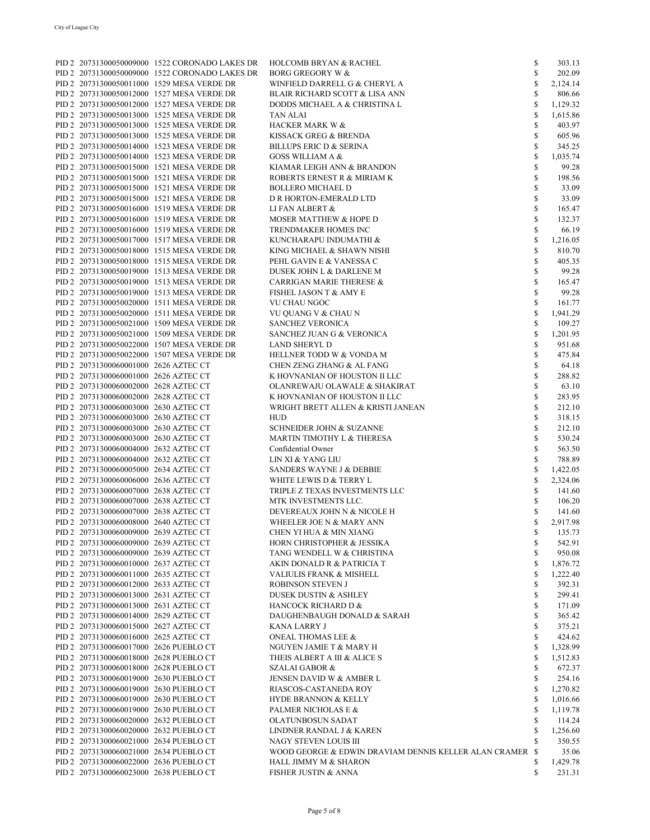|                                            | PID 2 20731300050009000 1522 CORONADO LAKES DR | <b>HOLCOMB BRYAN &amp; RACHEL</b>                        | \$           | 303.13   |
|--------------------------------------------|------------------------------------------------|----------------------------------------------------------|--------------|----------|
|                                            | PID 2 20731300050009000 1522 CORONADO LAKES DR | <b>BORG GREGORY W &amp;</b>                              | $\mathbb{S}$ | 202.09   |
| PID 2 20731300050011000 1529 MESA VERDE DR |                                                | WINFIELD DARRELL G & CHERYL A                            | \$           | 2,124.14 |
|                                            |                                                |                                                          |              |          |
| PID 2 20731300050012000 1527 MESA VERDE DR |                                                | <b>BLAIR RICHARD SCOTT &amp; LISA ANN</b>                | \$           | 806.66   |
| PID 2 20731300050012000 1527 MESA VERDE DR |                                                | DODDS MICHAEL A & CHRISTINA L                            | $\mathbb{S}$ | 1,129.32 |
| PID 2 20731300050013000 1525 MESA VERDE DR |                                                | TAN ALAI                                                 | \$           | 1,615.86 |
|                                            |                                                |                                                          |              |          |
| PID 2 20731300050013000 1525 MESA VERDE DR |                                                | <b>HACKER MARK W &amp;</b>                               | \$           | 403.97   |
| PID 2 20731300050013000 1525 MESA VERDE DR |                                                | KISSACK GREG & BRENDA                                    | $\mathbb{S}$ | 605.96   |
| PID 2 20731300050014000 1523 MESA VERDE DR |                                                | <b>BILLUPS ERIC D &amp; SERINA</b>                       | \$           | 345.25   |
| PID 2 20731300050014000 1523 MESA VERDE DR |                                                | <b>GOSS WILLIAM A &amp;</b>                              | $\mathbb{S}$ | 1,035.74 |
|                                            |                                                |                                                          |              |          |
| PID 2 20731300050015000 1521 MESA VERDE DR |                                                | KIAMAR LEIGH ANN & BRANDON                               | \$           | 99.28    |
| PID 2 20731300050015000 1521 MESA VERDE DR |                                                | ROBERTS ERNEST R & MIRIAM K                              | \$           | 198.56   |
| PID 2 20731300050015000 1521 MESA VERDE DR |                                                | <b>BOLLERO MICHAEL D</b>                                 | \$           | 33.09    |
|                                            |                                                |                                                          |              |          |
| PID 2 20731300050015000 1521 MESA VERDE DR |                                                | D R HORTON-EMERALD LTD                                   | \$           | 33.09    |
| PID 2 20731300050016000 1519 MESA VERDE DR |                                                | LI FAN ALBERT &                                          | \$           | 165.47   |
| PID 2 20731300050016000 1519 MESA VERDE DR |                                                | <b>MOSER MATTHEW &amp; HOPE D</b>                        | \$           | 132.37   |
|                                            |                                                |                                                          |              |          |
| PID 2 20731300050016000 1519 MESA VERDE DR |                                                | TRENDMAKER HOMES INC                                     | \$           | 66.19    |
| PID 2 20731300050017000 1517 MESA VERDE DR |                                                | KUNCHARAPU INDUMATHI &                                   | \$           | 1,216.05 |
| PID 2 20731300050018000 1515 MESA VERDE DR |                                                | KING MICHAEL & SHAWN NISHI                               | \$           | 810.70   |
| PID 2 20731300050018000 1515 MESA VERDE DR |                                                | PEHL GAVIN E & VANESSA C                                 | \$           | 405.35   |
|                                            |                                                |                                                          |              |          |
| PID 2 20731300050019000 1513 MESA VERDE DR |                                                | DUSEK JOHN L & DARLENE M                                 | \$           | 99.28    |
| PID 2 20731300050019000 1513 MESA VERDE DR |                                                | <b>CARRIGAN MARIE THERESE &amp;</b>                      | \$           | 165.47   |
| PID 2 20731300050019000 1513 MESA VERDE DR |                                                | <b>FISHEL JASON T &amp; AMY E</b>                        | \$           | 99.28    |
|                                            |                                                |                                                          |              |          |
| PID 2 20731300050020000 1511 MESA VERDE DR |                                                | VU CHAU NGOC                                             | $\mathbb S$  | 161.77   |
| PID 2 20731300050020000 1511 MESA VERDE DR |                                                | VU QUANG V & CHAU N                                      | \$           | 1,941.29 |
| PID 2 20731300050021000 1509 MESA VERDE DR |                                                | <b>SANCHEZ VERONICA</b>                                  | \$           | 109.27   |
| PID 2 20731300050021000 1509 MESA VERDE DR |                                                | <b>SANCHEZ JUAN G &amp; VERONICA</b>                     | \$           |          |
|                                            |                                                |                                                          |              | 1,201.95 |
| PID 2 20731300050022000 1507 MESA VERDE DR |                                                | LAND SHERYL D                                            | \$           | 951.68   |
| PID 2 20731300050022000 1507 MESA VERDE DR |                                                | HELLNER TODD W & VONDA M                                 | \$           | 475.84   |
| PID 2 20731300060001000 2626 AZTEC CT      |                                                | CHEN ZENG ZHANG & AL FANG                                | \$           | 64.18    |
|                                            |                                                |                                                          |              |          |
| PID 2 20731300060001000 2626 AZTEC CT      |                                                | K HOVNANIAN OF HOUSTON II LLC                            | \$           | 288.82   |
| PID 2 20731300060002000 2628 AZTEC CT      |                                                | OLANREWAJU OLAWALE & SHAKIRAT                            | \$           | 63.10    |
| PID 2 20731300060002000 2628 AZTEC CT      |                                                | K HOVNANIAN OF HOUSTON II LLC                            | \$           | 283.95   |
|                                            |                                                |                                                          |              |          |
| PID 2 20731300060003000 2630 AZTEC CT      |                                                | WRIGHT BRETT ALLEN & KRISTI JANEAN                       | \$           | 212.10   |
| PID 2 20731300060003000 2630 AZTEC CT      |                                                | <b>HUD</b>                                               | \$           | 318.15   |
| PID 2 20731300060003000 2630 AZTEC CT      |                                                | <b>SCHNEIDER JOHN &amp; SUZANNE</b>                      | \$           | 212.10   |
| PID 2 20731300060003000 2630 AZTEC CT      |                                                | MARTIN TIMOTHY L & THERESA                               | \$           | 530.24   |
|                                            |                                                |                                                          |              |          |
| PID 2 20731300060004000 2632 AZTEC CT      |                                                | Confidential Owner                                       | \$           | 563.50   |
| PID 2 20731300060004000 2632 AZTEC CT      |                                                | LIN XI & YANG LIU                                        | \$           | 788.89   |
| PID 2 20731300060005000 2634 AZTEC CT      |                                                | SANDERS WAYNE J & DEBBIE                                 | $\mathbb{S}$ | 1,422.05 |
|                                            |                                                |                                                          |              |          |
| PID 2 20731300060006000 2636 AZTEC CT      |                                                | WHITE LEWIS D & TERRY L                                  | $\mathbb S$  | 2,324.06 |
| PID 2 20731300060007000 2638 AZTEC CT      |                                                | TRIPLE Z TEXAS INVESTMENTS LLC                           | \$           | 141.60   |
| PID 2 20731300060007000 2638 AZTEC CT      |                                                | MTK INVESTMENTS LLC.                                     | \$           | 106.20   |
| PID 2 20731300060007000 2638 AZTEC CT      |                                                | DEVEREAUX JOHN N & NICOLE H                              | \$           | 141.60   |
|                                            |                                                |                                                          |              |          |
| PID 2 20731300060008000 2640 AZTEC CT      |                                                | WHEELER JOE N & MARY ANN                                 | \$           | 2,917.98 |
| PID 2 20731300060009000 2639 AZTEC CT      |                                                | CHEN YI HUA & MIN XIANG                                  | S            | 135.73   |
| PID 2 20731300060009000 2639 AZTEC CT      |                                                | HORN CHRISTOPHER & JESSIKA                               | \$           | 542.91   |
| PID 2 20731300060009000 2639 AZTEC CT      |                                                |                                                          |              |          |
|                                            |                                                | TANG WENDELL W & CHRISTINA                               | \$           | 950.08   |
| PID 2 20731300060010000 2637 AZTEC CT      |                                                | AKIN DONALD R & PATRICIA T                               | \$           | 1,876.72 |
| PID 2 20731300060011000 2635 AZTEC CT      |                                                | VALIULIS FRANK & MISHELL                                 | \$           | 1,222.40 |
| PID 2 20731300060012000 2633 AZTEC CT      |                                                | <b>ROBINSON STEVEN J</b>                                 | \$           | 392.31   |
|                                            |                                                |                                                          |              |          |
| PID 2 20731300060013000 2631 AZTEC CT      |                                                | <b>DUSEK DUSTIN &amp; ASHLEY</b>                         | \$           | 299.41   |
| PID 2 20731300060013000 2631 AZTEC CT      |                                                | HANCOCK RICHARD D &                                      | \$           | 171.09   |
| PID 2 20731300060014000 2629 AZTEC CT      |                                                | DAUGHENBAUGH DONALD & SARAH                              | \$           | 365.42   |
| PID 2 20731300060015000 2627 AZTEC CT      |                                                | <b>KANA LARRY J</b>                                      | \$           |          |
|                                            |                                                |                                                          |              | 375.21   |
| PID 2 20731300060016000 2625 AZTEC CT      |                                                | <b>ONEAL THOMAS LEE &amp;</b>                            | \$           | 424.62   |
| PID 2 20731300060017000 2626 PUEBLO CT     |                                                | NGUYEN JAMIE T & MARY H                                  | \$           | 1,328.99 |
| PID 2 20731300060018000 2628 PUEBLO CT     |                                                | THEIS ALBERT A III & ALICE S                             | \$           | 1,512.83 |
|                                            |                                                |                                                          |              |          |
| PID 2 20731300060018000 2628 PUEBLO CT     |                                                | <b>SZALAI GABOR &amp;</b>                                | \$           | 672.37   |
| PID 2 20731300060019000 2630 PUEBLO CT     |                                                | JENSEN DAVID W & AMBER L                                 | \$           | 254.16   |
| PID 2 20731300060019000 2630 PUEBLO CT     |                                                | RIASCOS-CASTANEDA ROY                                    | \$           | 1,270.82 |
| PID 2 20731300060019000 2630 PUEBLO CT     |                                                | <b>HYDE BRANNON &amp; KELLY</b>                          | \$           |          |
|                                            |                                                |                                                          |              | 1,016.66 |
| PID 2 20731300060019000 2630 PUEBLO CT     |                                                | PALMER NICHOLAS E &                                      | \$           | 1,119.78 |
| PID 2 20731300060020000 2632 PUEBLO CT     |                                                | OLATUNBOSUN SADAT                                        | \$           | 114.24   |
| PID 2 20731300060020000 2632 PUEBLO CT     |                                                | LINDNER RANDAL J & KAREN                                 | \$           | 1,256.60 |
|                                            |                                                |                                                          |              |          |
| PID 2 20731300060021000 2634 PUEBLO CT     |                                                | NAGY STEVEN LOUIS III                                    | \$           | 350.55   |
| PID 2 20731300060021000 2634 PUEBLO CT     |                                                | WOOD GEORGE & EDWIN DRAVIAM DENNIS KELLER ALAN CRAMER \$ |              | 35.06    |
| PID 2 20731300060022000 2636 PUEBLO CT     |                                                | <b>HALL JIMMY M &amp; SHARON</b>                         | S            | 1,429.78 |
| PID 2 20731300060023000 2638 PUEBLO CT     |                                                | <b>FISHER JUSTIN &amp; ANNA</b>                          | \$           | 231.31   |
|                                            |                                                |                                                          |              |          |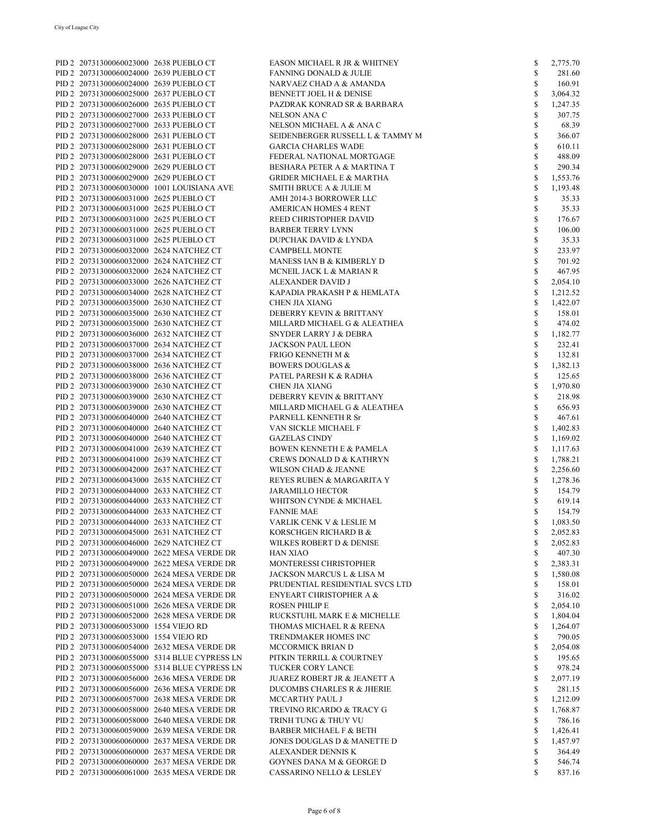| PID 2 20731300060023000 2638 PUEBLO CT  |                                              | EASON MICHAEL R JR & WHITNEY            | \$           | 2,775.70 |
|-----------------------------------------|----------------------------------------------|-----------------------------------------|--------------|----------|
| PID 2 20731300060024000 2639 PUEBLO CT  |                                              | <b>FANNING DONALD &amp; JULIE</b>       | \$           | 281.60   |
| PID 2 20731300060024000 2639 PUEBLO CT  |                                              | NARVAEZ CHAD A & AMANDA                 | \$           | 160.91   |
| PID 2 20731300060025000 2637 PUEBLO CT  |                                              | BENNETT JOEL H & DENISE                 | $\mathbb{S}$ | 3,064.32 |
| PID 2 20731300060026000 2635 PUEBLO CT  |                                              | PAZDRAK KONRAD SR & BARBARA             | \$           | 1,247.35 |
| PID 2 20731300060027000 2633 PUEBLO CT  |                                              | NELSON ANA C                            | \$           | 307.75   |
|                                         |                                              |                                         |              |          |
| PID 2 20731300060027000 2633 PUEBLO CT  |                                              | NELSON MICHAEL A & ANA C                | \$           | 68.39    |
| PID 2 20731300060028000 2631 PUEBLO CT  |                                              | SEIDENBERGER RUSSELL L & TAMMY M        | \$           | 366.07   |
| PID 2 20731300060028000 2631 PUEBLO CT  |                                              | <b>GARCIA CHARLES WADE</b>              | \$           | 610.11   |
| PID 2 20731300060028000 2631 PUEBLO CT  |                                              | FEDERAL NATIONAL MORTGAGE               | $\mathbb{S}$ | 488.09   |
| PID 2 20731300060029000 2629 PUEBLO CT  |                                              | BESHARA PETER A & MARTINA T             | \$           | 290.34   |
|                                         |                                              |                                         | \$           |          |
| PID 2 20731300060029000 2629 PUEBLO CT  |                                              | <b>GRIDER MICHAEL E &amp; MARTHA</b>    |              | 1,553.76 |
|                                         | PID 2 20731300060030000 1001 LOUISIANA AVE   | SMITH BRUCE A & JULIE M                 | \$           | 1,193.48 |
| PID 2 20731300060031000 2625 PUEBLO CT  |                                              | AMH 2014-3 BORROWER LLC                 | \$           | 35.33    |
| PID 2 20731300060031000 2625 PUEBLO CT  |                                              | <b>AMERICAN HOMES 4 RENT</b>            | $\mathbb{S}$ | 35.33    |
| PID 2 20731300060031000 2625 PUEBLO CT  |                                              | REED CHRISTOPHER DAVID                  | \$           | 176.67   |
| PID 2 20731300060031000 2625 PUEBLO CT  |                                              | <b>BARBER TERRY LYNN</b>                | <b>S</b>     | 106.00   |
|                                         |                                              |                                         |              |          |
| PID 2 20731300060031000 2625 PUEBLO CT  |                                              | DUPCHAK DAVID & LYNDA                   | $\mathbb{S}$ | 35.33    |
| PID 2 20731300060032000 2624 NATCHEZ CT |                                              | <b>CAMPBELL MONTE</b>                   | \$           | 233.97   |
| PID 2 20731300060032000 2624 NATCHEZ CT |                                              | MANESS IAN B & KIMBERLY D               | $\mathbb{S}$ | 701.92   |
| PID 2 20731300060032000 2624 NATCHEZ CT |                                              | MCNEIL JACK L & MARIAN R                | $\mathbb{S}$ | 467.95   |
| PID 2 20731300060033000 2626 NATCHEZ CT |                                              | ALEXANDER DAVID J                       | \$           | 2,054.10 |
| PID 2 20731300060034000 2628 NATCHEZ CT |                                              | KAPADIA PRAKASH P & HEMLATA             | \$           | 1,212.52 |
|                                         |                                              |                                         |              |          |
| PID 2 20731300060035000 2630 NATCHEZ CT |                                              | <b>CHEN JIA XIANG</b>                   | \$           | 1,422.07 |
| PID 2 20731300060035000 2630 NATCHEZ CT |                                              | DEBERRY KEVIN & BRITTANY                | \$           | 158.01   |
| PID 2 20731300060035000 2630 NATCHEZ CT |                                              | MILLARD MICHAEL G & ALEATHEA            | $\mathbb{S}$ | 474.02   |
| PID 2 20731300060036000 2632 NATCHEZ CT |                                              | SNYDER LARRY J & DEBRA                  | \$           | 1,182.77 |
| PID 2 20731300060037000 2634 NATCHEZ CT |                                              | <b>JACKSON PAUL LEON</b>                | \$           | 232.41   |
|                                         |                                              |                                         | $\mathbb{S}$ |          |
| PID 2 20731300060037000 2634 NATCHEZ CT |                                              | FRIGO KENNETH M &                       |              | 132.81   |
| PID 2 20731300060038000 2636 NATCHEZ CT |                                              | <b>BOWERS DOUGLAS &amp;</b>             | \$           | 1,382.13 |
| PID 2 20731300060038000 2636 NATCHEZ CT |                                              | PATEL PARESH K & RADHA                  | \$           | 125.65   |
| PID 2 20731300060039000 2630 NATCHEZ CT |                                              | CHEN JIA XIANG                          | \$           | 1,970.80 |
| PID 2 20731300060039000 2630 NATCHEZ CT |                                              | DEBERRY KEVIN & BRITTANY                | \$           | 218.98   |
| PID 2 20731300060039000 2630 NATCHEZ CT |                                              | MILLARD MICHAEL G & ALEATHEA            | $\mathbb{S}$ | 656.93   |
|                                         |                                              |                                         |              |          |
| PID 2 20731300060040000 2640 NATCHEZ CT |                                              | PARNELL KENNETH R Sr                    | \$           | 467.61   |
| PID 2 20731300060040000 2640 NATCHEZ CT |                                              | VAN SICKLE MICHAEL F                    | \$           | 1,402.83 |
| PID 2 20731300060040000 2640 NATCHEZ CT |                                              | <b>GAZELAS CINDY</b>                    | $\mathbb{S}$ | 1,169.02 |
| PID 2 20731300060041000 2639 NATCHEZ CT |                                              | <b>BOWEN KENNETH E &amp; PAMELA</b>     | \$           | 1,117.63 |
| PID 2 20731300060041000 2639 NATCHEZ CT |                                              | <b>CREWS DONALD D &amp; KATHRYN</b>     | \$           | 1,788.21 |
| PID 2 20731300060042000 2637 NATCHEZ CT |                                              | WILSON CHAD & JEANNE                    | $\mathbb{S}$ | 2,256.60 |
|                                         |                                              |                                         |              |          |
| PID 2 20731300060043000 2635 NATCHEZ CT |                                              | REYES RUBEN & MARGARITA Y               | \$           | 1,278.36 |
| PID 2 20731300060044000 2633 NATCHEZ CT |                                              | <b>JARAMILLO HECTOR</b>                 | $\mathbb{S}$ | 154.79   |
| PID 2 20731300060044000 2633 NATCHEZ CT |                                              | WHITSON CYNDE & MICHAEL                 | $\mathbb{S}$ | 619.14   |
| PID 2 20731300060044000 2633 NATCHEZ CT |                                              | <b>FANNIE MAE</b>                       | \$           | 154.79   |
| PID 2 20731300060044000 2633 NATCHEZ CT |                                              | VARLIK CENK V & LESLIE M                | S            | 1,083.50 |
|                                         |                                              |                                         |              |          |
| PID 2 20731300060045000 2631 NATCHEZ CT |                                              | KORSCHGEN RICHARD B &                   | \$           | 2,052.83 |
| PID 2 20731300060046000 2629 NATCHEZ CT |                                              | WILKES ROBERT D & DENISE                | \$           | 2,052.83 |
|                                         | PID 2 20731300060049000 2622 MESA VERDE DR   | HAN XIAO                                | \$           | 407.30   |
|                                         | PID 2 20731300060049000 2622 MESA VERDE DR   | MONTERESSI CHRISTOPHER                  | \$           | 2,383.31 |
|                                         | PID 2 20731300060050000 2624 MESA VERDE DR   | JACKSON MARCUS L & LISA M               | \$           | 1,580.08 |
|                                         | PID 2 20731300060050000 2624 MESA VERDE DR   | PRUDENTIAL RESIDENTIAL SVCS LTD         | \$           | 158.01   |
|                                         | PID 2 20731300060050000 2624 MESA VERDE DR   |                                         | \$           | 316.02   |
|                                         |                                              | <b>ENYEART CHRISTOPHER A &amp;</b>      |              |          |
|                                         | PID 2 20731300060051000 2626 MESA VERDE DR   | <b>ROSEN PHILIP E</b>                   | \$           | 2,054.10 |
|                                         | PID 2 20731300060052000 2628 MESA VERDE DR   | RUCKSTUHL MARK E & MICHELLE             | \$           | 1,804.04 |
| PID 2 20731300060053000 1554 VIEJO RD   |                                              | THOMAS MICHAEL R & REENA                | \$           | 1,264.07 |
| PID 2 20731300060053000 1554 VIEJO RD   |                                              | TRENDMAKER HOMES INC                    | \$           | 790.05   |
|                                         | PID 2 20731300060054000 2632 MESA VERDE DR   | MCCORMICK BRIAN D                       | \$           | 2,054.08 |
|                                         |                                              |                                         |              |          |
|                                         | PID 2 20731300060055000 5314 BLUE CYPRESS LN | PITKIN TERRILL & COURTNEY               | \$           | 195.65   |
|                                         | PID 2 20731300060055000 5314 BLUE CYPRESS LN | TUCKER CORY LANCE                       | \$           | 978.24   |
|                                         | PID 2 20731300060056000 2636 MESA VERDE DR   | <b>JUAREZ ROBERT JR &amp; JEANETT A</b> | \$           | 2,077.19 |
|                                         | PID 2 20731300060056000 2636 MESA VERDE DR   | DUCOMBS CHARLES R & JHERIE              | \$           | 281.15   |
|                                         | PID 2 20731300060057000 2638 MESA VERDE DR   | MCCARTHY PAUL J                         | \$           | 1,212.09 |
|                                         | PID 2 20731300060058000 2640 MESA VERDE DR   | TREVINO RICARDO & TRACY G               | \$           | 1,768.87 |
|                                         |                                              |                                         |              |          |
|                                         | PID 2 20731300060058000 2640 MESA VERDE DR   | TRINH TUNG & THUY VU                    | \$           | 786.16   |
|                                         | PID 2 20731300060059000 2639 MESA VERDE DR   | <b>BARBER MICHAEL F &amp; BETH</b>      | \$           | 1,426.41 |
|                                         | PID 2 20731300060060000 2637 MESA VERDE DR   | JONES DOUGLAS D & MANETTE D             | \$           | 1,457.97 |
|                                         | PID 2 20731300060060000 2637 MESA VERDE DR   | ALEXANDER DENNIS K                      | \$           | 364.49   |
|                                         | PID 2 20731300060060000 2637 MESA VERDE DR   | <b>GOYNES DANA M &amp; GEORGE D</b>     | \$           | 546.74   |
|                                         | PID 2 20731300060061000 2635 MESA VERDE DR   | CASSARINO NELLO & LESLEY                | \$           | 837.16   |
|                                         |                                              |                                         |              |          |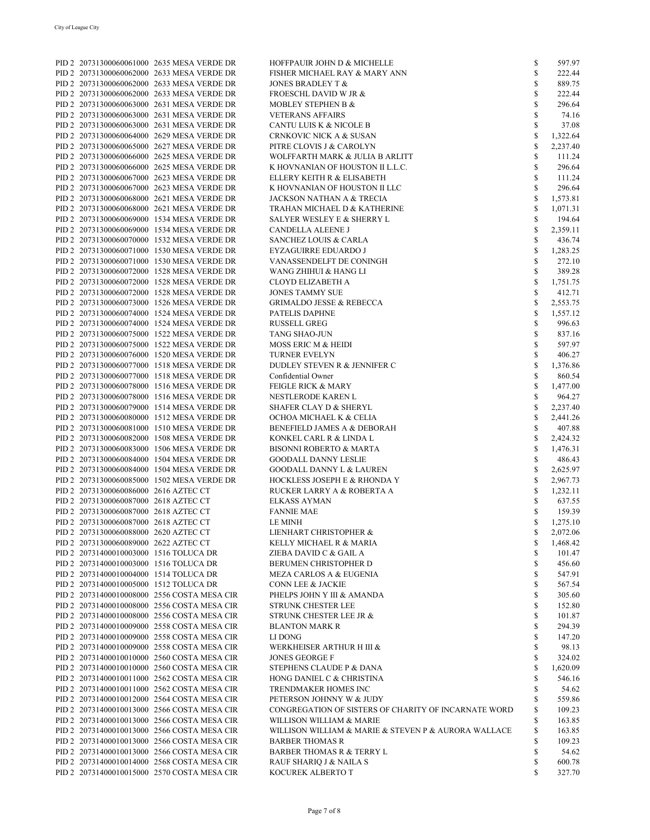|                                        | PID 2 20731300060061000 2635 MESA VERDE DR  | HOFFPAUIR JOHN D & MICHELLE                          | \$           | 597.97   |
|----------------------------------------|---------------------------------------------|------------------------------------------------------|--------------|----------|
|                                        | PID 2 20731300060062000 2633 MESA VERDE DR  | FISHER MICHAEL RAY & MARY ANN                        | \$           | 222.44   |
|                                        |                                             | <b>JONES BRADLEY T &amp;</b>                         | \$           |          |
|                                        | PID 2 20731300060062000 2633 MESA VERDE DR  |                                                      |              | 889.75   |
|                                        | PID 2 20731300060062000 2633 MESA VERDE DR  | <b>FROESCHL DAVID W JR &amp;</b>                     | \$           | 222.44   |
|                                        | PID 2 20731300060063000 2631 MESA VERDE DR  | MOBLEY STEPHEN B &                                   | \$           | 296.64   |
|                                        |                                             |                                                      |              |          |
|                                        | PID 2 20731300060063000 2631 MESA VERDE DR  | <b>VETERANS AFFAIRS</b>                              | \$           | 74.16    |
|                                        | PID 2 20731300060063000 2631 MESA VERDE DR  | CANTU LUIS K & NICOLE B                              | \$           | 37.08    |
|                                        | PID 2 20731300060064000 2629 MESA VERDE DR  | CRNKOVIC NICK A & SUSAN                              | \$           | 1,322.64 |
|                                        |                                             |                                                      |              |          |
|                                        | PID 2 20731300060065000 2627 MESA VERDE DR  | PITRE CLOVIS J & CAROLYN                             | \$           | 2,237.40 |
|                                        | PID 2 20731300060066000 2625 MESA VERDE DR  | WOLFFARTH MARK & JULIA B ARLITT                      | \$           | 111.24   |
|                                        | PID 2 20731300060066000 2625 MESA VERDE DR  | K HOVNANIAN OF HOUSTON II L.L.C.                     | \$           | 296.64   |
|                                        |                                             |                                                      |              |          |
|                                        | PID 2 20731300060067000 2623 MESA VERDE DR  | ELLERY KEITH R & ELISABETH                           | \$           | 111.24   |
|                                        | PID 2 20731300060067000 2623 MESA VERDE DR  | K HOVNANIAN OF HOUSTON II LLC                        | \$           | 296.64   |
|                                        | PID 2 20731300060068000 2621 MESA VERDE DR  | <b>JACKSON NATHAN A &amp; TRECIA</b>                 | \$           | 1,573.81 |
|                                        |                                             |                                                      |              |          |
|                                        | PID 2 20731300060068000 2621 MESA VERDE DR  | TRAHAN MICHAEL D & KATHERINE                         | \$           | 1,071.31 |
|                                        | PID 2 20731300060069000 1534 MESA VERDE DR  | SALYER WESLEY E & SHERRY L                           | \$           | 194.64   |
|                                        | PID 2 20731300060069000 1534 MESA VERDE DR  | CANDELLA ALEENE J                                    | $\mathbb{S}$ | 2,359.11 |
|                                        | PID 2 20731300060070000 1532 MESA VERDE DR  | <b>SANCHEZ LOUIS &amp; CARLA</b>                     | \$           | 436.74   |
|                                        |                                             |                                                      |              |          |
|                                        | PID 2 20731300060071000 1530 MESA VERDE DR  | EYZAGUIRRE EDUARDO J                                 | \$           | 1,283.25 |
|                                        | PID 2 20731300060071000 1530 MESA VERDE DR  | VANASSENDELFT DE CONINGH                             | \$           | 272.10   |
|                                        | PID 2 20731300060072000 1528 MESA VERDE DR  | WANG ZHIHUI & HANG LI                                | \$           | 389.28   |
|                                        | PID 2 20731300060072000 1528 MESA VERDE DR  | CLOYD ELIZABETH A                                    | \$           | 1,751.75 |
|                                        |                                             |                                                      |              |          |
|                                        | PID 2 20731300060072000 1528 MESA VERDE DR  | <b>JONES TAMMY SUE</b>                               | \$           | 412.71   |
|                                        | PID 2 20731300060073000 1526 MESA VERDE DR  | <b>GRIMALDO JESSE &amp; REBECCA</b>                  | \$           | 2,553.75 |
|                                        | PID 2 20731300060074000 1524 MESA VERDE DR  | PATELIS DAPHNE                                       | \$           | 1,557.12 |
|                                        |                                             |                                                      |              |          |
|                                        | PID 2 20731300060074000 1524 MESA VERDE DR  | <b>RUSSELL GREG</b>                                  | $\mathbb{S}$ | 996.63   |
|                                        | PID 2 20731300060075000 1522 MESA VERDE DR  | TANG SHAO-JUN                                        | \$           | 837.16   |
|                                        | PID 2 20731300060075000 1522 MESA VERDE DR  | MOSS ERIC M & HEIDI                                  | \$           | 597.97   |
|                                        | PID 2 20731300060076000 1520 MESA VERDE DR  | <b>TURNER EVELYN</b>                                 | \$           | 406.27   |
|                                        |                                             |                                                      |              |          |
|                                        | PID 2 20731300060077000 1518 MESA VERDE DR  | DUDLEY STEVEN R & JENNIFER C                         | \$           | 1,376.86 |
|                                        | PID 2 20731300060077000 1518 MESA VERDE DR  | Confidential Owner                                   | \$           | 860.54   |
|                                        | PID 2 20731300060078000 1516 MESA VERDE DR  | <b>FEIGLE RICK &amp; MARY</b>                        | \$           | 1,477.00 |
|                                        |                                             |                                                      |              |          |
|                                        | PID 2 20731300060078000 1516 MESA VERDE DR  | NESTLERODE KAREN L                                   | \$           | 964.27   |
|                                        | PID 2 20731300060079000 1514 MESA VERDE DR  | SHAFER CLAY D & SHERYL                               | \$           | 2,237.40 |
|                                        | PID 2 20731300060080000 1512 MESA VERDE DR  | OCHOA MICHAEL K & CELIA                              | \$           | 2,441.26 |
|                                        | PID 2 20731300060081000 1510 MESA VERDE DR  | BENEFIELD JAMES A & DEBORAH                          | \$           | 407.88   |
|                                        |                                             |                                                      |              |          |
|                                        | PID 2 20731300060082000 1508 MESA VERDE DR  | KONKEL CARL R & LINDA L                              | \$           | 2,424.32 |
|                                        | PID 2 20731300060083000 1506 MESA VERDE DR  | <b>BISONNI ROBERTO &amp; MARTA</b>                   | \$           | 1,476.31 |
|                                        | PID 2 20731300060084000 1504 MESA VERDE DR  | <b>GOODALL DANNY LESLIE</b>                          | \$           | 486.43   |
|                                        | PID 2 20731300060084000 1504 MESA VERDE DR  | <b>GOODALL DANNY L &amp; LAUREN</b>                  | \$           | 2,625.97 |
|                                        |                                             |                                                      |              |          |
|                                        | PID 2 20731300060085000 1502 MESA VERDE DR  | HOCKLESS JOSEPH E & RHONDA Y                         | \$           | 2,967.73 |
| PID 2 20731300060086000 2616 AZTEC CT  |                                             | RUCKER LARRY A & ROBERTA A                           | \$           | 1,232.11 |
| PID 2 20731300060087000 2618 AZTEC CT  |                                             | <b>ELKASS AYMAN</b>                                  | \$           | 637.55   |
|                                        |                                             |                                                      |              |          |
| PID 2 20731300060087000 2618 AZTEC CT  |                                             | <b>FANNIE MAE</b>                                    | \$           | 159.39   |
| PID 2 20731300060087000 2618 AZTEC CT  |                                             | LE MINH                                              | S            | 1,275.10 |
| PID 2 20731300060088000 2620 AZTEC CT  |                                             | LIENHART CHRISTOPHER &                               | \$           | 2,072.06 |
| PID 2 20731300060089000 2622 AZTEC CT  |                                             | KELLY MICHAEL R & MARIA                              | \$           | 1,468.42 |
|                                        |                                             |                                                      |              |          |
| PID 2 20731400010003000 1516 TOLUCA DR |                                             | ZIEBA DAVID C & GAIL A                               | \$           | 101.47   |
| PID 2 20731400010003000 1516 TOLUCA DR |                                             | BERUMEN CHRISTOPHER D                                | \$           | 456.60   |
| PID 2 20731400010004000 1514 TOLUCA DR |                                             | <b>MEZA CARLOS A &amp; EUGENIA</b>                   | \$           | 547.91   |
| PID 2 20731400010005000 1512 TOLUCA DR |                                             | CONN LEE & JACKIE                                    | \$           | 567.54   |
|                                        |                                             |                                                      |              |          |
|                                        | PID 2 20731400010008000 2556 COSTA MESA CIR | PHELPS JOHN Y III & AMANDA                           | \$           | 305.60   |
|                                        | PID 2 20731400010008000 2556 COSTA MESA CIR | STRUNK CHESTER LEE                                   | \$           | 152.80   |
|                                        | PID 2 20731400010008000 2556 COSTA MESA CIR | STRUNK CHESTER LEE JR &                              | \$           | 101.87   |
|                                        | PID 2 20731400010009000 2558 COSTA MESA CIR |                                                      |              |          |
|                                        |                                             | <b>BLANTON MARK R</b>                                | \$           | 294.39   |
|                                        | PID 2 20731400010009000 2558 COSTA MESA CIR | LI DONG                                              | \$           | 147.20   |
|                                        | PID 2 20731400010009000 2558 COSTA MESA CIR | WERKHEISER ARTHUR H III &                            | \$           | 98.13    |
|                                        | PID 2 20731400010010000 2560 COSTA MESA CIR | <b>JONES GEORGE F</b>                                | \$           | 324.02   |
|                                        |                                             |                                                      |              |          |
|                                        | PID 2 20731400010010000 2560 COSTA MESA CIR | <b>STEPHENS CLAUDE P &amp; DANA</b>                  | \$           | 1,620.09 |
|                                        | PID 2 20731400010011000 2562 COSTA MESA CIR | HONG DANIEL C & CHRISTINA                            | \$           | 546.16   |
|                                        | PID 2 20731400010011000 2562 COSTA MESA CIR | <b>TRENDMAKER HOMES INC</b>                          | \$           | 54.62    |
|                                        | PID 2 20731400010012000 2564 COSTA MESA CIR | PETERSON JOHNNY W & JUDY                             | \$           | 559.86   |
|                                        |                                             | CONGREGATION OF SISTERS OF CHARITY OF INCARNATE WORD |              |          |
|                                        | PID 2 20731400010013000 2566 COSTA MESA CIR |                                                      | \$           | 109.23   |
|                                        | PID 2 20731400010013000 2566 COSTA MESA CIR | WILLISON WILLIAM & MARIE                             | \$           | 163.85   |
|                                        | PID 2 20731400010013000 2566 COSTA MESA CIR | WILLISON WILLIAM & MARIE & STEVEN P & AURORA WALLACE | \$           | 163.85   |
|                                        | PID 2 20731400010013000 2566 COSTA MESA CIR | <b>BARBER THOMAS R</b>                               | \$           | 109.23   |
|                                        | PID 2 20731400010013000 2566 COSTA MESA CIR | <b>BARBER THOMAS R &amp; TERRY L</b>                 | $\mathbb{S}$ | 54.62    |
|                                        |                                             |                                                      |              |          |
|                                        | PID 2 20731400010014000 2568 COSTA MESA CIR | RAUF SHARIQ J & NAILA S                              | \$           | 600.78   |
|                                        | PID 2 20731400010015000 2570 COSTA MESA CIR | KOCUREK ALBERTO T                                    | \$           | 327.70   |